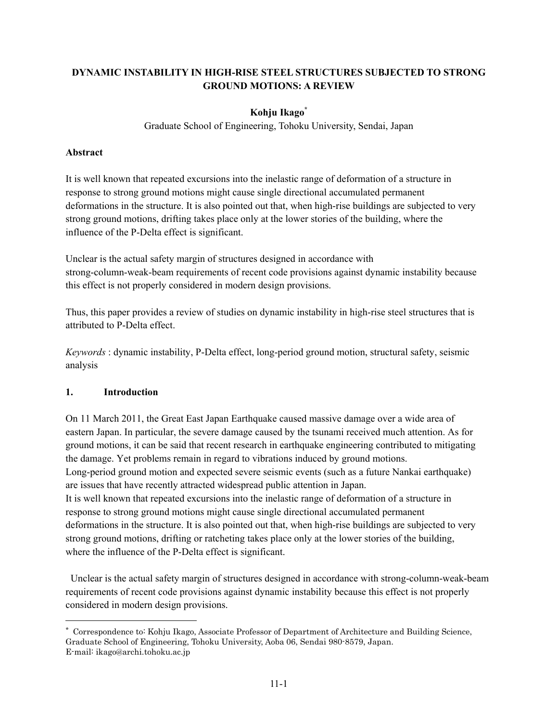# **DYNAMIC INSTABILITY IN HIGH-RISE STEEL STRUCTURES SUBJECTED TO STRONG GROUND MOTIONS: A REVIEW**

# **Kohju Ikago\***

Graduate School of Engineering, Tohoku University, Sendai, Japan

### **Abstract**

It is well known that repeated excursions into the inelastic range of deformation of a structure in response to strong ground motions might cause single directional accumulated permanent deformations in the structure. It is also pointed out that, when high-rise buildings are subjected to very strong ground motions, drifting takes place only at the lower stories of the building, where the influence of the P-Delta effect is significant.

Unclear is the actual safety margin of structures designed in accordance with strong-column-weak-beam requirements of recent code provisions against dynamic instability because this effect is not properly considered in modern design provisions.

Thus, this paper provides a review of studies on dynamic instability in high-rise steel structures that is attributed to P-Delta effect.

*Keywords* : dynamic instability, P-Delta effect, long-period ground motion, structural safety, seismic analysis

# **1. Introduction**

 $\overline{a}$ 

On 11 March 2011, the Great East Japan Earthquake caused massive damage over a wide area of eastern Japan. In particular, the severe damage caused by the tsunami received much attention. As for ground motions, it can be said that recent research in earthquake engineering contributed to mitigating the damage. Yet problems remain in regard to vibrations induced by ground motions. Long-period ground motion and expected severe seismic events (such as a future Nankai earthquake) are issues that have recently attracted widespread public attention in Japan. It is well known that repeated excursions into the inelastic range of deformation of a structure in response to strong ground motions might cause single directional accumulated permanent deformations in the structure. It is also pointed out that, when high-rise buildings are subjected to very strong ground motions, drifting or ratcheting takes place only at the lower stories of the building, where the influence of the P-Delta effect is significant.

 Unclear is the actual safety margin of structures designed in accordance with strong-column-weak-beam requirements of recent code provisions against dynamic instability because this effect is not properly considered in modern design provisions.

<sup>\*</sup> Correspondence to: Kohju Ikago, Associate Professor of Department of Architecture and Building Science, Graduate School of Engineering, Tohoku University, Aoba 06, Sendai 980-8579, Japan. E-mail: ikago@archi.tohoku.ac.jp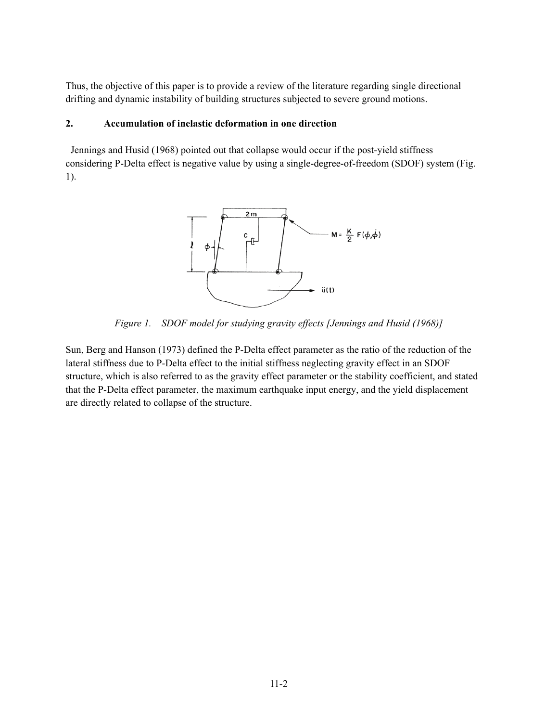Thus, the objective of this paper is to provide a review of the literature regarding single directional drifting and dynamic instability of building structures subjected to severe ground motions.

### **2. Accumulation of inelastic deformation in one direction**

 Jennings and Husid (1968) pointed out that collapse would occur if the post-yield stiffness considering P-Delta effect is negative value by using a single-degree-of-freedom (SDOF) system (Fig. 1).



*Figure 1. SDOF model for studying gravity effects [Jennings and Husid (1968)]* 

Sun, Berg and Hanson (1973) defined the P-Delta effect parameter as the ratio of the reduction of the lateral stiffness due to P-Delta effect to the initial stiffness neglecting gravity effect in an SDOF structure, which is also referred to as the gravity effect parameter or the stability coefficient, and stated that the P-Delta effect parameter, the maximum earthquake input energy, and the yield displacement are directly related to collapse of the structure.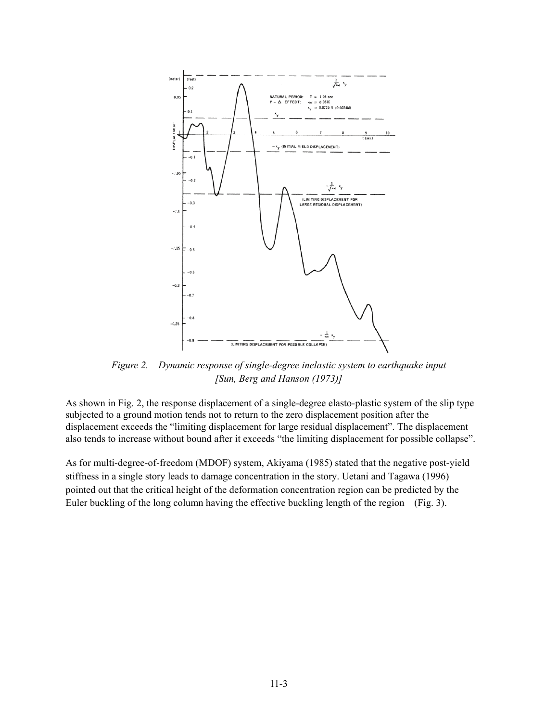

*Figure 2. Dynamic response of single-degree inelastic system to earthquake input [Sun, Berg and Hanson (1973)]* 

As shown in Fig. 2, the response displacement of a single-degree elasto-plastic system of the slip type subjected to a ground motion tends not to return to the zero displacement position after the displacement exceeds the "limiting displacement for large residual displacement". The displacement also tends to increase without bound after it exceeds "the limiting displacement for possible collapse".

As for multi-degree-of-freedom (MDOF) system, Akiyama (1985) stated that the negative post-yield stiffness in a single story leads to damage concentration in the story. Uetani and Tagawa (1996) pointed out that the critical height of the deformation concentration region can be predicted by the Euler buckling of the long column having the effective buckling length of the region (Fig. 3).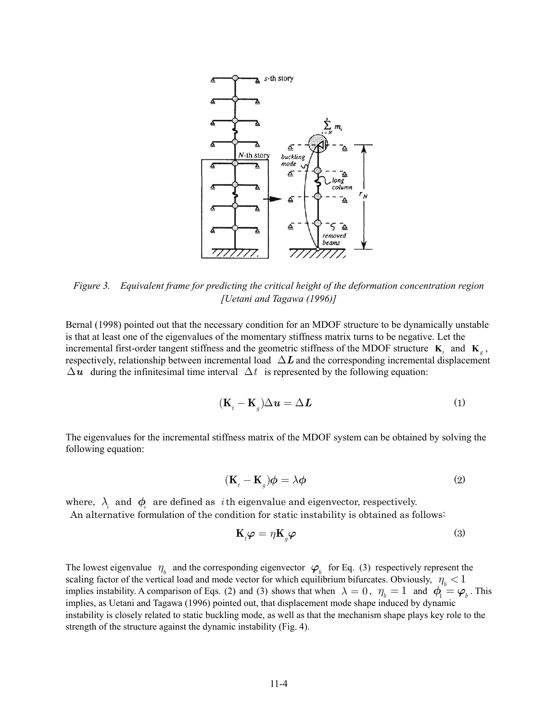

*Figure 3. Equivalent frame for predicting the critical height of the deformation concentration region [Uetani and Tagawa (1996)]* 

Bernal (1998) pointed out that the necessary condition for an MDOF structure to be dynamically unstable is that at least one of the eigenvalues of the momentary stiffness matrix turns to be negative. Let the incremental first-order tangent stiffness and the geometric stiffness of the MDOF structure  $\mathbf{K}_t$  and  $\mathbf{K}_g$ , respectively, relationship between incremental load  $\Delta L$  and the corresponding incremental displacement  $\Delta u$  during the infinitesimal time interval  $\Delta t$  is represented by the following equation:

$$
(\mathbf{K}_t - \mathbf{K}_g)\Delta \mathbf{u} = \Delta \mathbf{L}
$$
 (1)

The eigenvalues for the incremental stiffness matrix of the MDOF system can be obtained by solving the following equation:

$$
(\mathbf{K}_t - \mathbf{K}_g)\boldsymbol{\phi} = \lambda \boldsymbol{\phi} \tag{2}
$$

where,  $\lambda_i$  and  $\phi_i$  are defined as *i*th eigenvalue and eigenvector, respectively.

An alternative formulation of the condition for static instability is obtained as follows:

$$
\mathbf{K}_t \boldsymbol{\varphi} = \eta \mathbf{K}_g \boldsymbol{\varphi} \tag{3}
$$

The lowest eigenvalue  $\eta_h$  and the corresponding eigenvector  $\varphi_h$  for Eq. (3) respectively represent the scaling factor of the vertical load and mode vector for which equilibrium bifurcates. Obviously,  $\eta_h < 1$ implies instability. A comparison of Eqs. (2) and (3) shows that when  $\lambda = 0$ ,  $\eta_{h} = 1$  and  $\phi_{h} = \phi_{h}$ . This implies, as Uetani and Tagawa (1996) pointed out, that displacement mode shape induced by dynamic instability is closely related to static buckling mode, as well as that the mechanism shape plays key role to the strength of the structure against the dynamic instability (Fig. 4).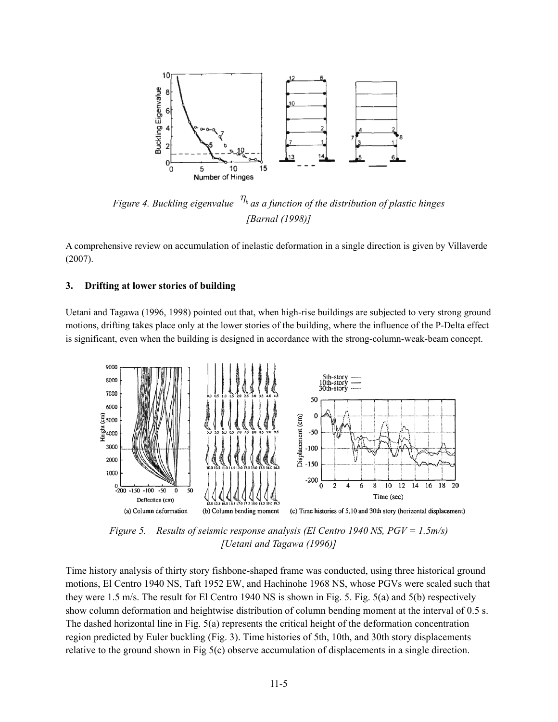

*Figure 4. Buckling eigenvalue*  $\eta_b$  *as a function of the distribution of plastic hinges [Barnal (1998)]* 

A comprehensive review on accumulation of inelastic deformation in a single direction is given by Villaverde (2007).

#### **3. Drifting at lower stories of building**

Uetani and Tagawa (1996, 1998) pointed out that, when high-rise buildings are subjected to very strong ground motions, drifting takes place only at the lower stories of the building, where the influence of the P-Delta effect is significant, even when the building is designed in accordance with the strong-column-weak-beam concept.



*Figure 5. Results of seismic response analysis (El Centro 1940 NS, PGV = 1.5m/s) [Uetani and Tagawa (1996)]* 

Time history analysis of thirty story fishbone-shaped frame was conducted, using three historical ground motions, El Centro 1940 NS, Taft 1952 EW, and Hachinohe 1968 NS, whose PGVs were scaled such that they were 1.5 m/s. The result for El Centro 1940 NS is shown in Fig. 5. Fig. 5(a) and 5(b) respectively show column deformation and heightwise distribution of column bending moment at the interval of 0.5 s. The dashed horizontal line in Fig. 5(a) represents the critical height of the deformation concentration region predicted by Euler buckling (Fig. 3). Time histories of 5th, 10th, and 30th story displacements relative to the ground shown in Fig 5(c) observe accumulation of displacements in a single direction.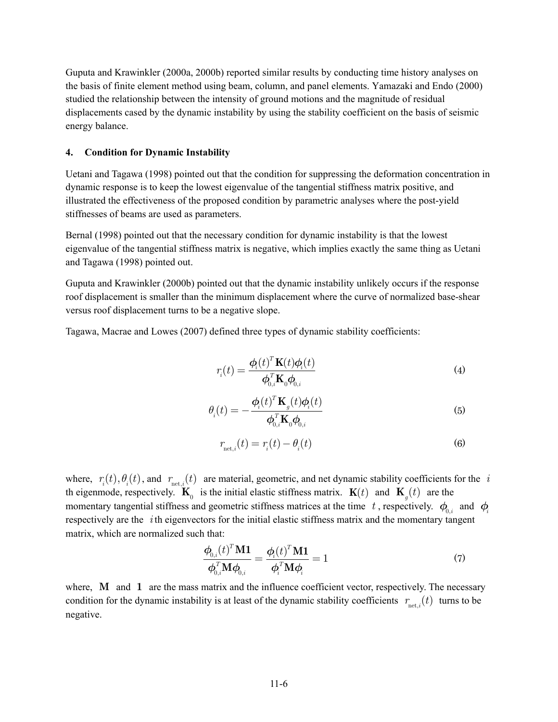Guputa and Krawinkler (2000a, 2000b) reported similar results by conducting time history analyses on the basis of finite element method using beam, column, and panel elements. Yamazaki and Endo (2000) studied the relationship between the intensity of ground motions and the magnitude of residual displacements cased by the dynamic instability by using the stability coefficient on the basis of seismic energy balance.

#### **4. Condition for Dynamic Instability**

Uetani and Tagawa (1998) pointed out that the condition for suppressing the deformation concentration in dynamic response is to keep the lowest eigenvalue of the tangential stiffness matrix positive, and illustrated the effectiveness of the proposed condition by parametric analyses where the post-yield stiffnesses of beams are used as parameters.

Bernal (1998) pointed out that the necessary condition for dynamic instability is that the lowest eigenvalue of the tangential stiffness matrix is negative, which implies exactly the same thing as Uetani and Tagawa (1998) pointed out.

Guputa and Krawinkler (2000b) pointed out that the dynamic instability unlikely occurs if the response roof displacement is smaller than the minimum displacement where the curve of normalized base-shear versus roof displacement turns to be a negative slope.

Tagawa, Macrae and Lowes (2007) defined three types of dynamic stability coefficients:

$$
r_i(t) = \frac{\boldsymbol{\phi}_i(t)^T \mathbf{K}(t) \boldsymbol{\phi}_i(t)}{\boldsymbol{\phi}_{0,i}^T \mathbf{K}_0 \boldsymbol{\phi}_{0,i}}
$$
(4)

$$
\theta_i(t) = -\frac{\phi_i(t)^T \mathbf{K}_g(t)\phi_i(t)}{\phi_{0,i}^T \mathbf{K}_0 \phi_{0,i}}
$$
\n(5)

$$
r_{\text{net},i}(t) = r_i(t) - \theta_i(t) \tag{6}
$$

where,  $r_i(t), \theta_i(t)$ , and  $r_{net,i}(t)$  are material, geometric, and net dynamic stability coefficients for the *i* th eigenmode, respectively.  $\mathbf{K}_0$  is the initial elastic stiffness matrix.  $\mathbf{K}(t)$  and  $\mathbf{K}_i(t)$  are the momentary tangential stiffness and geometric stiffness matrices at the time *t*, respectively.  $\phi_{0,i}$  and  $\phi_{i}$ respectively are the *i* th eigenvectors for the initial elastic stiffness matrix and the momentary tangent matrix, which are normalized such that:

$$
\frac{\boldsymbol{\phi}_{0,i}(t)^{T} \mathbf{M} \mathbf{1}}{\boldsymbol{\phi}_{0,i}^{T} \mathbf{M} \boldsymbol{\phi}_{0,i}} = \frac{\boldsymbol{\phi}_{i}(t)^{T} \mathbf{M} \mathbf{1}}{\boldsymbol{\phi}_{i}^{T} \mathbf{M} \boldsymbol{\phi}_{i}} = 1
$$
\n(7)

where, **M** and **1** are the mass matrix and the influence coefficient vector, respectively. The necessary condition for the dynamic instability is at least of the dynamic stability coefficients  $r_{net,i}(t)$  turns to be negative.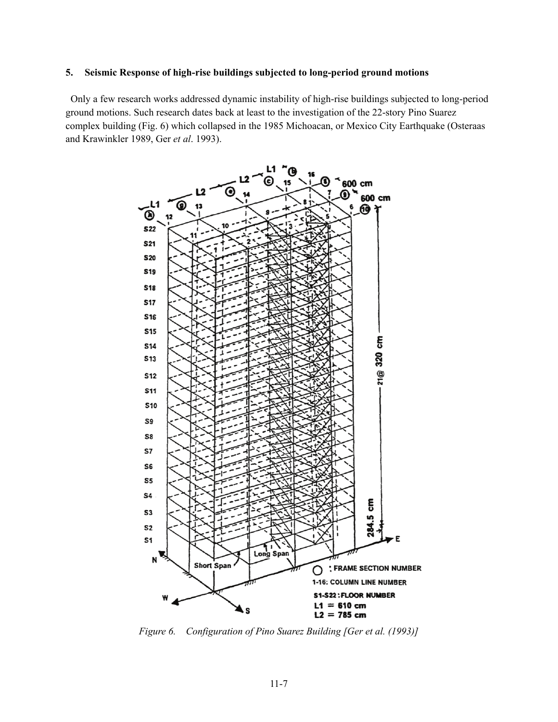#### **5. Seismic Response of high-rise buildings subjected to long-period ground motions**

 Only a few research works addressed dynamic instability of high-rise buildings subjected to long-period ground motions. Such research dates back at least to the investigation of the 22-story Pino Suarez complex building (Fig. 6) which collapsed in the 1985 Michoacan, or Mexico City Earthquake (Osteraas and Krawinkler 1989, Ger *et al*. 1993).



*Figure 6. Configuration of Pino Suarez Building [Ger et al. (1993)]*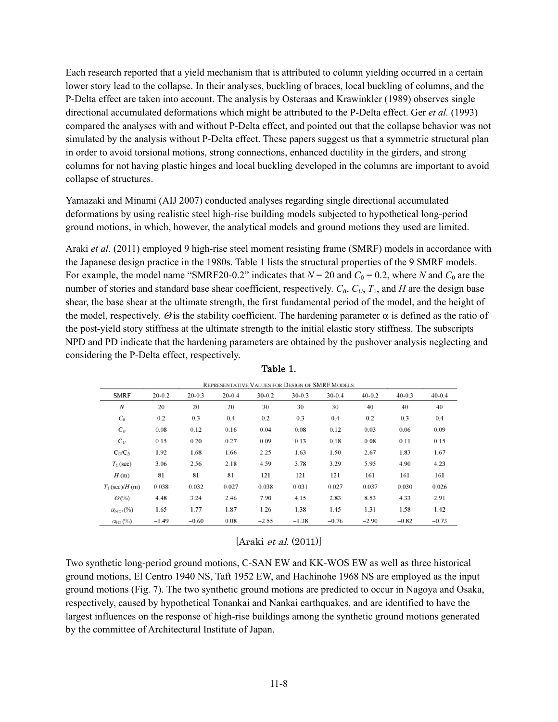Each research reported that a yield mechanism that is attributed to column yielding occurred in a certain lower story lead to the collapse. In their analyses, buckling of braces, local buckling of columns, and the P-Delta effect are taken into account. The analysis by Osteraas and Krawinkler (1989) observes single directional accumulated deformations which might be attributed to the P-Delta effect. Ger *et al.* (1993) compared the analyses with and without P-Delta effect, and pointed out that the collapse behavior was not simulated by the analysis without P-Delta effect. These papers suggest us that a symmetric structural plan in order to avoid torsional motions, strong connections, enhanced ductility in the girders, and strong columns for not having plastic hinges and local buckling developed in the columns are important to avoid collapse of structures.

Yamazaki and Minami (AIJ 2007) conducted analyses regarding single directional accumulated deformations by using realistic steel high-rise building models subjected to hypothetical long-period ground motions, in which, however, the analytical models and ground motions they used are limited.

Araki *et al*. (2011) employed 9 high-rise steel moment resisting frame (SMRF) models in accordance with the Japanese design practice in the 1980s. Table 1 lists the structural properties of the 9 SMRF models. For example, the model name "SMRF20-0.2" indicates that  $N = 20$  and  $C_0 = 0.2$ , where *N* and  $C_0$  are the number of stories and standard base shear coefficient, respectively.  $C_B$ ,  $C_U$ ,  $T_1$ , and  $H$  are the design base shear, the base shear at the ultimate strength, the first fundamental period of the model, and the height of the model, respectively.  $\Theta$  is the stability coefficient. The hardening parameter  $\alpha$  is defined as the ratio of the post-yield story stiffness at the ultimate strength to the initial elastic story stiffness. The subscripts NPD and PD indicate that the hardening parameters are obtained by the pushover analysis neglecting and considering the P-Delta effect, respectively.

| REPRESENTATIVE VALUES FOR DESIGN OF SMRF MODELS. |            |            |            |            |            |            |            |            |            |
|--------------------------------------------------|------------|------------|------------|------------|------------|------------|------------|------------|------------|
| <b>SMRF</b>                                      | $20 - 0.2$ | $20 - 0.3$ | $20 - 0.4$ | $30 - 0.2$ | $30 - 0.3$ | $30 - 0.4$ | $40 - 0.2$ | $40 - 0.3$ | $40 - 0.4$ |
| $\boldsymbol{N}$                                 | 20         | 20         | 20         | 30         | 30         | 30         | 40         | 40         | 40         |
| $C_0$                                            | 0.2        | 0.3        | 0.4        | 0.2        | 0.3        | 0.4        | 0.2        | 0.3        | 0.4        |
| $C_B$                                            | 0.08       | 0.12       | 0.16       | 0.04       | 0.08       | 0.12       | 0.03       | 0.06       | 0.09       |
| $C_U$                                            | 0.15       | 0.20       | 0.27       | 0.09       | 0.13       | 0.18       | 0.08       | 0.11       | 0.15       |
| $C_U/C_B$                                        | 1.92       | 1.68       | 1.66       | 2.25       | 1.63       | 1.50       | 2.67       | 1.83       | 1.67       |
| $T_1$ (sec)                                      | 3.06       | 2.56       | 2.18       | 4.59       | 3.78       | 3.29       | 5.95       | 4.90       | 4.23       |
| H(m)                                             | 81         | 81         | 81         | 121        | 121        | 121        | 161        | 161        | 161        |
| $T_1$ (sec)/H (m)                                | 0.038      | 0.032      | 0.027      | 0.038      | 0.031      | 0.027      | 0.037      | 0.030      | 0.026      |
| $\Theta(\%)$                                     | 4.48       | 3.24       | 2.46       | 7.90       | 4.15       | 2.83       | 8.53       | 4.33       | 2.91       |
| $\alpha_{\rm NPD}$ (%)                           | 1.65       | 1.77       | 1.87       | 1.26       | 1.38       | 1.45       | 1.31       | 1.58       | 1.42       |
| $\alpha_{PD}(\%)$                                | $-1.49$    | $-0.60$    | 0.08       | $-2.55$    | $-1.38$    | $-0.76$    | $-2.90$    | $-0.82$    | $-0.73$    |

Table 1.

 $[Araki *et al.* (2011)]$ 

Two synthetic long-period ground motions, C-SAN EW and KK-WOS EW as well as three historical ground motions, El Centro 1940 NS, Taft 1952 EW, and Hachinohe 1968 NS are employed as the input ground motions (Fig. 7). The two synthetic ground motions are predicted to occur in Nagoya and Osaka, respectively, caused by hypothetical Tonankai and Nankai earthquakes, and are identified to have the largest influences on the response of high-rise buildings among the synthetic ground motions generated by the committee of Architectural Institute of Japan.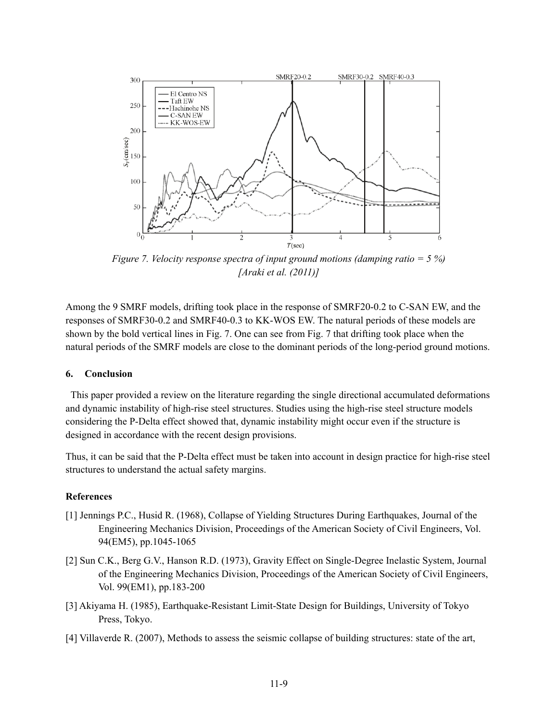

*Figure 7. Velocity response spectra of input ground motions (damping ratio = 5 %) [Araki et al. (2011)]* 

Among the 9 SMRF models, drifting took place in the response of SMRF20-0.2 to C-SAN EW, and the responses of SMRF30-0.2 and SMRF40-0.3 to KK-WOS EW. The natural periods of these models are shown by the bold vertical lines in Fig. 7. One can see from Fig. 7 that drifting took place when the natural periods of the SMRF models are close to the dominant periods of the long-period ground motions.

#### **6. Conclusion**

 This paper provided a review on the literature regarding the single directional accumulated deformations and dynamic instability of high-rise steel structures. Studies using the high-rise steel structure models considering the P-Delta effect showed that, dynamic instability might occur even if the structure is designed in accordance with the recent design provisions.

Thus, it can be said that the P-Delta effect must be taken into account in design practice for high-rise steel structures to understand the actual safety margins.

#### **References**

- [1] Jennings P.C., Husid R. (1968), Collapse of Yielding Structures During Earthquakes, Journal of the Engineering Mechanics Division, Proceedings of the American Society of Civil Engineers, Vol. 94(EM5), pp.1045-1065
- [2] Sun C.K., Berg G.V., Hanson R.D. (1973), Gravity Effect on Single-Degree Inelastic System, Journal of the Engineering Mechanics Division, Proceedings of the American Society of Civil Engineers, Vol. 99(EM1), pp.183-200
- [3] Akiyama H. (1985), Earthquake-Resistant Limit-State Design for Buildings, University of Tokyo Press, Tokyo.
- [4] Villaverde R. (2007), Methods to assess the seismic collapse of building structures: state of the art,